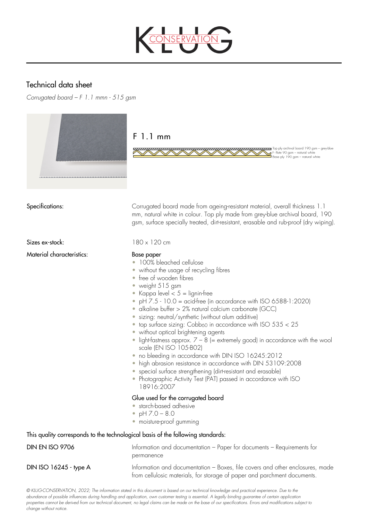

# Technical data sheet

*Corrugated board – F 1.1 mmn - 515 gsm*



## $F1.1mm$

Material characteristics: Base paper

Specifications: Corrugated board made from ageing-resistant material, overall thickness 1.1 mm, natural white in colour. Top ply made from grey-blue archival board, 190 gsm, surface specially treated, dirt-resistant, erasable and rub-proof (dry wiping).

1992 Marchival board 190 gsm - grey-blue<br>F - flute 90 gsm - natural white<br>Base ply 190 gsm - natural white

Sizes ex-stock: 180 x 120 cm

- 100% bleached cellulose
- without the usage of recycling fibres
- free of wooden fibres
- weight 515 gsm
- Kappa level  $< 5 =$  lignin-free
- pH  $7.5 10.0 =$  acid-free (in accordance with ISO 6588-1:2020)
- alkaline buffer > 2% natural calcium carbonate (GCC)
- sizing: neutral/synthetic (without alum additive)
- top surface sizing:  $Cobb_{60}$  in accordance with ISO  $535 < 25$
- without optical brightening agents
- light-fastness approx.  $7 8$  (= extremely good) in accordance with the wool scale (EN ISO 105-B02)
- no bleeding in accordance with DIN ISO 16245:2012
- high abrasion resistance in accordance with DIN 53109:2008
- special surface strengthening (dirt-resistant and erasable)
- Photographic Activity Test (PAT) passed in accordance with ISO 18916:2007

### Glue used for the corrugated board

- starch-based adhesive
- $pH 7.0 8.0$
- moisture-proof gumming

### This quality corresponds to the technological basis of the following standards:

DIN EN ISO 9706 Information and documentation – Paper for documents – Requirements for permanence DIN ISO 16245 - type A Information and documentation – Boxes, file covers and other enclosures, made from cellulosic materials, for storage of paper and parchment documents.

*© KLUG-CONSERVATION, 2022; The information stated in this document is based on our technical knowledge and practical experience. Due to the abundance of possible influences during handling and application, own customer testing is essential. A legally binding guarantee of certain application properties cannot be derived from our technical document, no legal claims can be made on the base of our specifications. Errors and modifications subject to change without notice.*